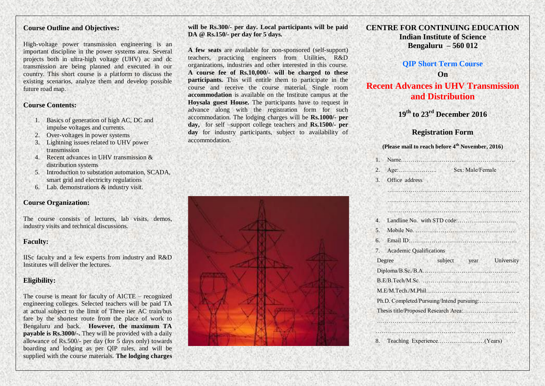# **Course Outline and Objectives:**

High-voltage power transmission engineering is an important discipline in the power systems area. Several projects both in ultra-high voltage (UHV) ac and dc transmission are being planned and executed in our country. This short course is a platform to discuss the existing scenarios, analyze them and develop possible future road map.

#### **Course Contents:**

- 1. Basics of generation of high AC, DC and impulse voltages and currents.
- 2. Over-voltages in power systems
- 3. Lightning issues related to UHV power transmission
- 4. Recent advances in UHV transmission & distribution systems
- 5. Introduction to substation automation, SCADA, smart grid and electricity regulations
- 6. Lab. demonstrations & industry visit.

## **Course Organization:**

The course consists of lectures, lab visits, demos, industry visits and technical discussions.

#### **Faculty:**

IISc faculty and a few experts from industry and R&D Institutes will deliver the lectures.

# **Eligibility:**

The course is meant for faculty of AICTE – recognized engineering colleges. Selected teachers will be paid TA at actual subject to the limit of Three tier AC train/bus fare by the shortest route from the place of work to Bengaluru and back. **However, the maximum TA payable is Rs.3000/-.** They will be provided with a daily allowance of Rs.500/- per day (for 5 days only) towards boarding and lodging as per QIP rules, and will be supplied with the course materials. **The lodging charges** 

**will be Rs.300/- per day. Local participants will be paid DA @ Rs.150/- per day for 5 days.** 

**A few seats** are available for non-sponsored (self-support) teachers, practicing engineers from Utilities, R&D organizations, industries and other interested in this course. **A course fee of Rs.10,000/- will be charged to these participants.** This will entitle them to participate in the course and receive the course material. Single room **accommodation** is available on the Institute campus at the **Hoysala guest House.** The participants have to request in advance along with the registration form for such accommodation. The lodging charges will be **Rs.1000/- per day,** for self –support college teachers and **Rs.1500/- per day** for industry participants, subject to availability of accommodation.



# **CENTRE FOR CONTINUING EDUCATION Indian Institute of Science Bengaluru – 560 012**

# **QIP Short Term Course On**

# **Recent Advances in UHV Transmission and Distribution**

**19 th to 23 rd December 2016**

### **Registration Form**

#### **(Please mail to reach before 4th November, 2016)**

| 2.             |                                           | Sex: Male/Female |                         |
|----------------|-------------------------------------------|------------------|-------------------------|
| 3.             | Office address                            |                  |                         |
|                |                                           |                  |                         |
|                |                                           |                  |                         |
|                |                                           |                  |                         |
| $\overline{4}$ |                                           |                  |                         |
| 5.             |                                           |                  |                         |
|                |                                           |                  |                         |
| 7.             | <b>Academic Qualifications</b>            |                  |                         |
|                | Degree                                    |                  | subject year University |
|                |                                           |                  |                         |
|                |                                           |                  |                         |
|                |                                           |                  | .                       |
|                | Ph.D. Completed/Pursuing/Intend pursuing: |                  |                         |
|                |                                           |                  |                         |
|                |                                           |                  |                         |
|                |                                           |                  |                         |
|                |                                           |                  |                         |